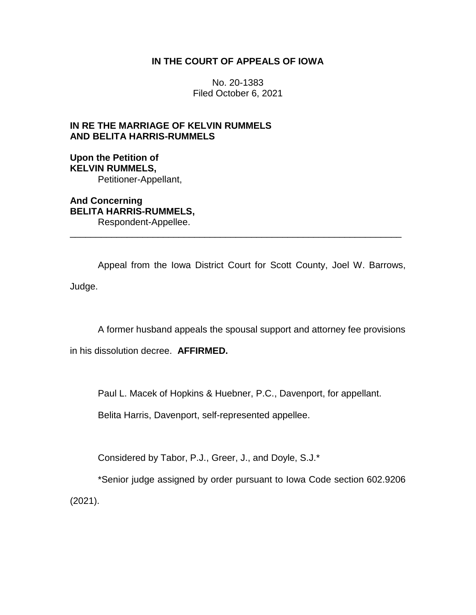## **IN THE COURT OF APPEALS OF IOWA**

No. 20-1383 Filed October 6, 2021

# **IN RE THE MARRIAGE OF KELVIN RUMMELS AND BELITA HARRIS-RUMMELS**

## **Upon the Petition of KELVIN RUMMELS,** Petitioner-Appellant,

**And Concerning BELITA HARRIS-RUMMELS,** Respondent-Appellee.

Appeal from the Iowa District Court for Scott County, Joel W. Barrows, Judge.

\_\_\_\_\_\_\_\_\_\_\_\_\_\_\_\_\_\_\_\_\_\_\_\_\_\_\_\_\_\_\_\_\_\_\_\_\_\_\_\_\_\_\_\_\_\_\_\_\_\_\_\_\_\_\_\_\_\_\_\_\_\_\_\_

A former husband appeals the spousal support and attorney fee provisions

in his dissolution decree. **AFFIRMED.**

Paul L. Macek of Hopkins & Huebner, P.C., Davenport, for appellant.

Belita Harris, Davenport, self-represented appellee.

Considered by Tabor, P.J., Greer, J., and Doyle, S.J.\*

\*Senior judge assigned by order pursuant to Iowa Code section 602.9206 (2021).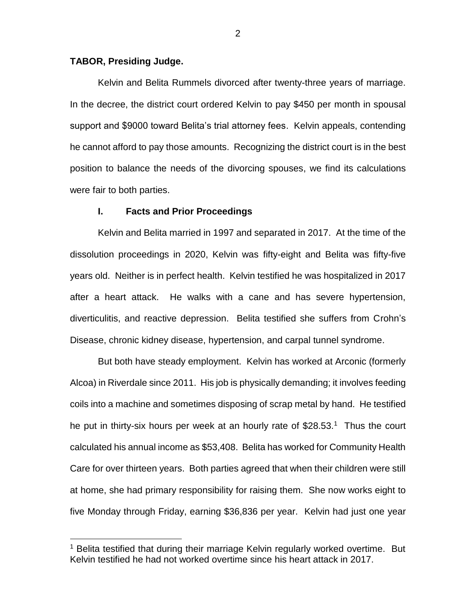## **TABOR, Presiding Judge.**

 $\overline{a}$ 

Kelvin and Belita Rummels divorced after twenty-three years of marriage. In the decree, the district court ordered Kelvin to pay \$450 per month in spousal support and \$9000 toward Belita's trial attorney fees. Kelvin appeals, contending he cannot afford to pay those amounts. Recognizing the district court is in the best position to balance the needs of the divorcing spouses, we find its calculations were fair to both parties.

#### **I. Facts and Prior Proceedings**

Kelvin and Belita married in 1997 and separated in 2017. At the time of the dissolution proceedings in 2020, Kelvin was fifty-eight and Belita was fifty-five years old. Neither is in perfect health. Kelvin testified he was hospitalized in 2017 after a heart attack. He walks with a cane and has severe hypertension, diverticulitis, and reactive depression. Belita testified she suffers from Crohn's Disease, chronic kidney disease, hypertension, and carpal tunnel syndrome.

But both have steady employment. Kelvin has worked at Arconic (formerly Alcoa) in Riverdale since 2011. His job is physically demanding; it involves feeding coils into a machine and sometimes disposing of scrap metal by hand. He testified he put in thirty-six hours per week at an hourly rate of \$28.53.<sup>1</sup> Thus the court calculated his annual income as \$53,408. Belita has worked for Community Health Care for over thirteen years. Both parties agreed that when their children were still at home, she had primary responsibility for raising them. She now works eight to five Monday through Friday, earning \$36,836 per year. Kelvin had just one year

<sup>&</sup>lt;sup>1</sup> Belita testified that during their marriage Kelvin regularly worked overtime. But Kelvin testified he had not worked overtime since his heart attack in 2017.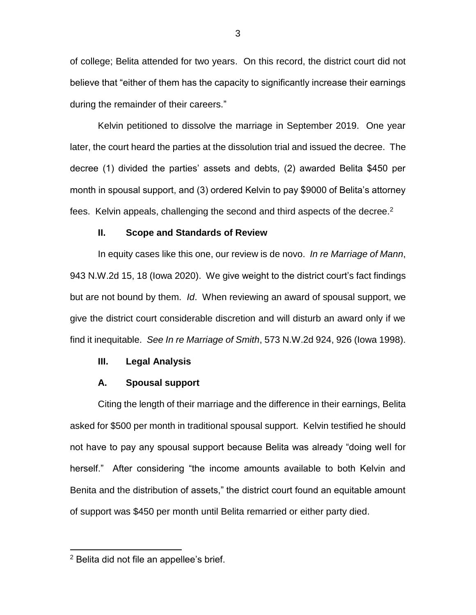of college; Belita attended for two years. On this record, the district court did not believe that "either of them has the capacity to significantly increase their earnings during the remainder of their careers."

Kelvin petitioned to dissolve the marriage in September 2019. One year later, the court heard the parties at the dissolution trial and issued the decree. The decree (1) divided the parties' assets and debts, (2) awarded Belita \$450 per month in spousal support, and (3) ordered Kelvin to pay \$9000 of Belita's attorney fees. Kelvin appeals, challenging the second and third aspects of the decree.<sup>2</sup>

#### **II. Scope and Standards of Review**

In equity cases like this one, our review is de novo. *In re Marriage of Mann*, 943 N.W.2d 15, 18 (Iowa 2020). We give weight to the district court's fact findings but are not bound by them. *Id*. When reviewing an award of spousal support, we give the district court considerable discretion and will disturb an award only if we find it inequitable. *See In re Marriage of Smith*, 573 N.W.2d 924, 926 (Iowa 1998).

#### **III. Legal Analysis**

### **A. Spousal support**

Citing the length of their marriage and the difference in their earnings, Belita asked for \$500 per month in traditional spousal support. Kelvin testified he should not have to pay any spousal support because Belita was already "doing well for herself." After considering "the income amounts available to both Kelvin and Benita and the distribution of assets," the district court found an equitable amount of support was \$450 per month until Belita remarried or either party died.

 $\overline{a}$ 

<sup>2</sup> Belita did not file an appellee's brief.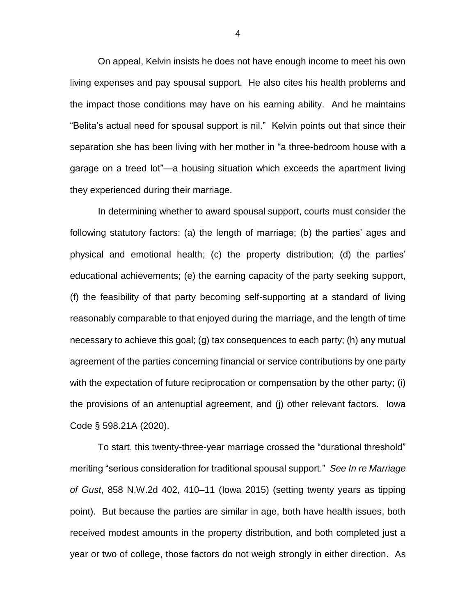On appeal, Kelvin insists he does not have enough income to meet his own living expenses and pay spousal support. He also cites his health problems and the impact those conditions may have on his earning ability. And he maintains "Belita's actual need for spousal support is nil." Kelvin points out that since their separation she has been living with her mother in "a three-bedroom house with a garage on a treed lot"—a housing situation which exceeds the apartment living they experienced during their marriage.

In determining whether to award spousal support, courts must consider the following statutory factors: (a) the length of marriage; (b) the parties' ages and physical and emotional health; (c) the property distribution; (d) the parties' educational achievements; (e) the earning capacity of the party seeking support, (f) the feasibility of that party becoming self-supporting at a standard of living reasonably comparable to that enjoyed during the marriage, and the length of time necessary to achieve this goal; (g) tax consequences to each party; (h) any mutual agreement of the parties concerning financial or service contributions by one party with the expectation of future reciprocation or compensation by the other party; (i) the provisions of an antenuptial agreement, and (j) other relevant factors. Iowa Code § 598.21A (2020).

To start, this twenty-three-year marriage crossed the "durational threshold" meriting "serious consideration for traditional spousal support." *See In re Marriage of Gust*, 858 N.W.2d 402, 410–11 (Iowa 2015) (setting twenty years as tipping point). But because the parties are similar in age, both have health issues, both received modest amounts in the property distribution, and both completed just a year or two of college, those factors do not weigh strongly in either direction. As

4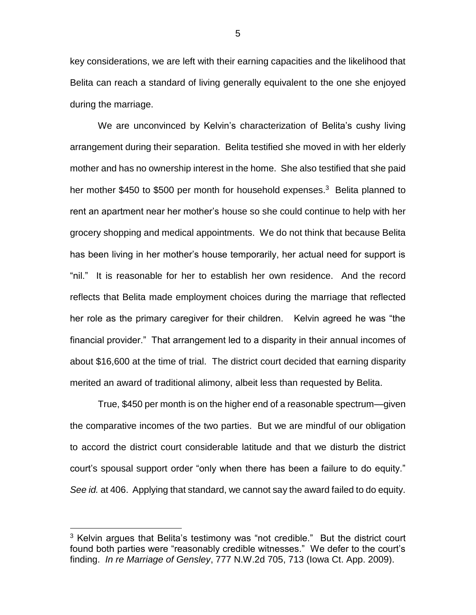key considerations, we are left with their earning capacities and the likelihood that Belita can reach a standard of living generally equivalent to the one she enjoyed during the marriage.

We are unconvinced by Kelvin's characterization of Belita's cushy living arrangement during their separation. Belita testified she moved in with her elderly mother and has no ownership interest in the home. She also testified that she paid her mother \$450 to \$500 per month for household expenses.<sup>3</sup> Belita planned to rent an apartment near her mother's house so she could continue to help with her grocery shopping and medical appointments. We do not think that because Belita has been living in her mother's house temporarily, her actual need for support is "nil." It is reasonable for her to establish her own residence. And the record reflects that Belita made employment choices during the marriage that reflected her role as the primary caregiver for their children. Kelvin agreed he was "the financial provider." That arrangement led to a disparity in their annual incomes of about \$16,600 at the time of trial. The district court decided that earning disparity merited an award of traditional alimony, albeit less than requested by Belita.

True, \$450 per month is on the higher end of a reasonable spectrum—given the comparative incomes of the two parties. But we are mindful of our obligation to accord the district court considerable latitude and that we disturb the district court's spousal support order "only when there has been a failure to do equity." *See id.* at 406. Applying that standard, we cannot say the award failed to do equity.

 $\overline{a}$ 

 $3$  Kelvin argues that Belita's testimony was "not credible." But the district court found both parties were "reasonably credible witnesses." We defer to the court's finding. *In re Marriage of Gensley*, 777 N.W.2d 705, 713 (Iowa Ct. App. 2009).